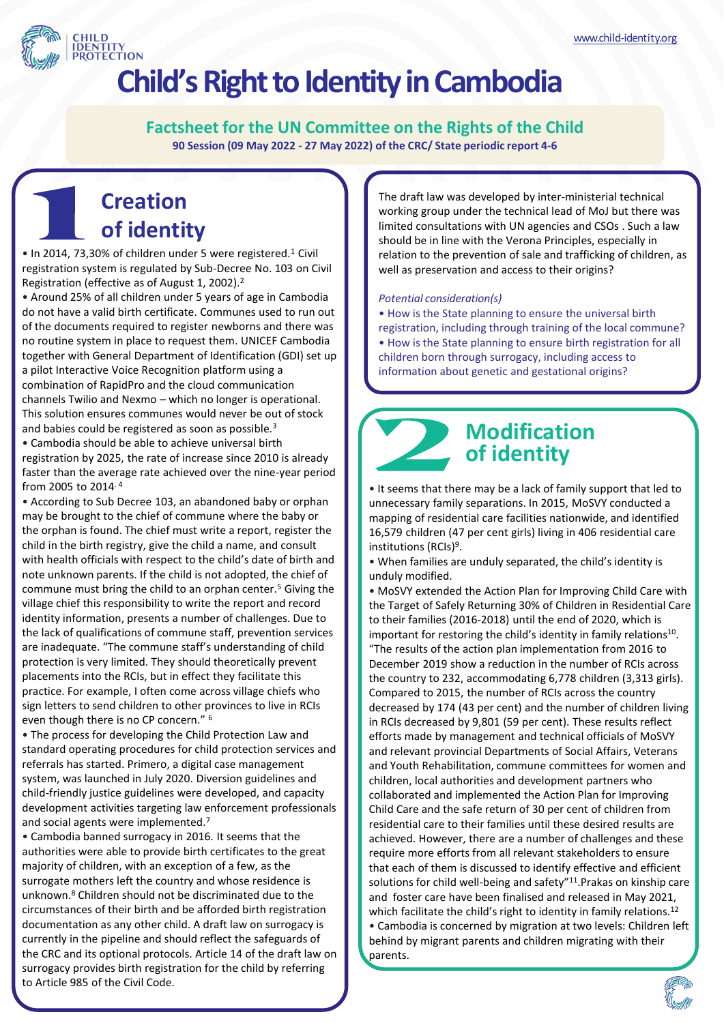

# **Child'sRight to Identity in Cambodia**

**Factsheet for the UN Committee on the Rights of the Child 90 Session (09 May 2022 - 27 May 2022) of the CRC/ State periodic report 4-6**

### **Creation of identity**

• In 2014, 73,30% of children under 5 were registered.<sup>1</sup> Civil registration system is regulated by Sub-Decree No. 103 on Civil Registration (effective as of August 1, 2002).<sup>2</sup>

• Around 25% of all children under 5 years of age in Cambodia do not have a valid birth certificate. Communes used to run out of the documents required to register newborns and there was no routine system in place to request them. UNICEF Cambodia together with General Department of Identification (GDI) set up a pilot Interactive Voice Recognition platform using a combination of RapidPro and the cloud communication channels Twilio and Nexmo – which no longer is operational. This solution ensures communes would never be out of stock and babies could be registered as soon as possible.<sup>3</sup>

• Cambodia should be able to achieve universal birth registration by 2025, the rate of increase since 2010 is already faster than the average rate achieved over the nine-year period from 2005 to 2014. <sup>4</sup>

• According to Sub Decree 103, an abandoned baby or orphan may be brought to the chief of commune where the baby or the orphan is found. The chief must write a report, register the child in the birth registry, give the child a name, and consult with health officials with respect to the child's date of birth and note unknown parents. If the child is not adopted, the chief of commune must bring the child to an orphan center.<sup>5</sup> Giving the village chief this responsibility to write the report and record identity information, presents a number of challenges. Due to the lack of qualifications of commune staff, prevention services are inadequate. "The commune staff's understanding of child protection is very limited. They should theoretically prevent placements into the RCIs, but in effect they facilitate this practice. For example, I often come across village chiefs who sign letters to send children to other provinces to live in RCIs even though there is no CP concern." <sup>6</sup>

• The process for developing the Child Protection Law and standard operating procedures for child protection services and referrals has started. Primero, a digital case management system, was launched in July 2020. Diversion guidelines and child-friendly justice guidelines were developed, and capacity development activities targeting law enforcement professionals and social agents were implemented.<sup>7</sup>

• Cambodia banned surrogacy in 2016. It seems that the authorities were able to provide birth certificates to the great majority of children, with an exception of a few, as the surrogate mothers left the country and whose residence is unknown. <sup>8</sup> Children should not be discriminated due to the circumstances of their birth and be afforded birth registration documentation as any other child. A draft law on surrogacy is currently in the pipeline and should reflect the safeguards of the CRC and its optional protocols. Article 14 of the draft law on surrogacy provides birth registration for the child by referring to Article 985 of the Civil Code.

The draft law was developed by inter-ministerial technical working group under the technical lead of MoJ but there was limited consultations with UN agencies and CSOs . Such a law should be in line with the Verona Principles, especially in relation to the prevention of sale and trafficking of children, as well as preservation and access to their origins?

#### *Potential consideration(s)*

• How is the State planning to ensure the universal birth registration, including through training of the local commune? • How is the State planning to ensure birth registration for all children born through surrogacy, including access to information about genetic and gestational origins?

### **Modification of identity**

• It seems that there may be a lack of family support that led to unnecessary family separations. In 2015, MoSVY conducted a mapping of residential care facilities nationwide, and identified 16,579 children (47 per cent girls) living in 406 residential care institutions (RCIs)<sup>9</sup>.

• When families are unduly separated, the child's identity is unduly modified.

• MoSVY extended the Action Plan for Improving Child Care with the Target of Safely Returning 30% of Children in Residential Care to their families (2016-2018) until the end of 2020, which is important for restoring the child's identity in family relations<sup>10</sup>. "The results of the action plan implementation from 2016 to December 2019 show a reduction in the number of RCIs across the country to 232, accommodating 6,778 children (3,313 girls). Compared to 2015, the number of RCIs across the country decreased by 174 (43 per cent) and the number of children living in RCIs decreased by 9,801 (59 per cent). These results reflect efforts made by management and technical officials of MoSVY and relevant provincial Departments of Social Affairs, Veterans and Youth Rehabilitation, commune committees for women and children, local authorities and development partners who collaborated and implemented the Action Plan for Improving Child Care and the safe return of 30 per cent of children from residential care to their families until these desired results are achieved. However, there are a number of challenges and these require more efforts from all relevant stakeholders to ensure that each of them is discussed to identify effective and efficient solutions for child well-being and safety"<sup>11</sup>. Prakas on kinship care and foster care have been finalised and released in May 2021, which facilitate the child's right to identity in family relations.<sup>12</sup> • Cambodia is concerned by migration at two levels: Children left behind by migrant parents and children migrating with their parents.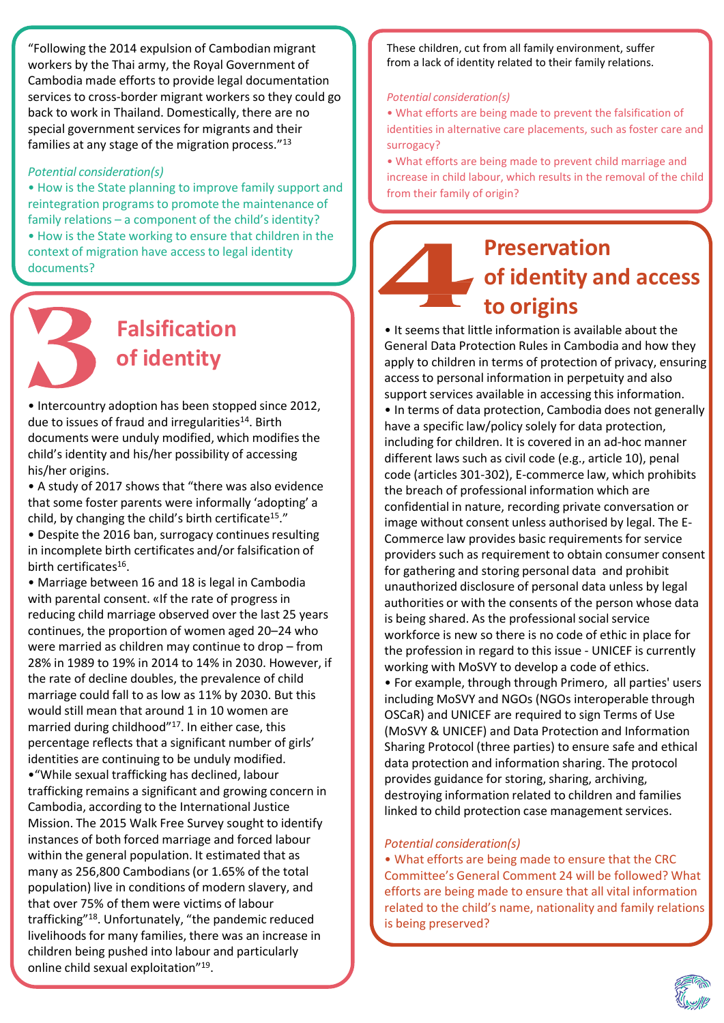"Following the 2014 expulsion of Cambodian migrant workers by the Thai army, the Royal Government of Cambodia made efforts to provide legal documentation services to cross-border migrant workers so they could go back to work in Thailand. Domestically, there are no special government services for migrants and their families at any stage of the migration process."<sup>13</sup>

#### *Potential consideration(s)*

• How is the State planning to improve family support and reintegration programs to promote the maintenance of family relations – a component of the child's identity? • How is the State working to ensure that children in the context of migration have access to legal identity documents?



# **Falsification of identity**

• Intercountry adoption has been stopped since 2012, due to issues of fraud and irregularities<sup>14</sup>. Birth documents were unduly modified, which modifies the child's identity and his/her possibility of accessing his/her origins.

• A study of 2017 shows that "there was also evidence that some foster parents were informally 'adopting' a child, by changing the child's birth certificate<sup>15</sup>."

• Despite the 2016 ban, surrogacy continues resulting in incomplete birth certificates and/or falsification of birth certificates<sup>16</sup>.

• Marriage between 16 and 18 is legal in Cambodia with parental consent. «If the rate of progress in reducing child marriage observed over the last 25 years continues, the proportion of women aged 20–24 who were married as children may continue to drop – from 28% in 1989 to 19% in 2014 to 14% in 2030. However, if the rate of decline doubles, the prevalence of child marriage could fall to as low as 11% by 2030. But this would still mean that around 1 in 10 women are married during childhood"<sup>17</sup>. In either case, this percentage reflects that a significant number of girls' identities are continuing to be unduly modified.

•"While sexual trafficking has declined, labour trafficking remains a significant and growing concern in Cambodia, according to the International Justice Mission. The 2015 Walk Free Survey sought to identify instances of both forced marriage and forced labour within the general population. It estimated that as many as 256,800 Cambodians (or 1.65% of the total population) live in conditions of modern slavery, and that over 75% of them were victims of labour trafficking"<sup>18</sup>. Unfortunately, "the pandemic reduced livelihoods for many families, there was an increase in children being pushed into labour and particularly online child sexual exploitation"<sup>19</sup>.

These children, cut from all family environment, suffer from a lack of identity related to their family relations.

#### *Potential consideration(s)*

• What efforts are being made to prevent the falsification of identities in alternative care placements, such as foster care and surrogacy?

• What efforts are being made to prevent child marriage and increase in child labour, which results in the removal of the child from their family of origin?

# **Preservation of identity and access to origins**

• It seems that little information is available about the General Data Protection Rules in Cambodia and how they apply to children in terms of protection of privacy, ensuring access to personal information in perpetuity and also support services available in accessing this information. • In terms of data protection, Cambodia does not generally have a specific law/policy solely for data protection, including for children. It is covered in an ad-hoc manner different laws such as civil code (e.g., article 10), penal code (articles 301-302), E-commerce law, which prohibits the breach of professional information which are confidential in nature, recording private conversation or image without consent unless authorised by legal. The E-Commerce law provides basic requirements for service providers such as requirement to obtain consumer consent for gathering and storing personal data and prohibit unauthorized disclosure of personal data unless by legal authorities or with the consents of the person whose data is being shared. As the professional social service workforce is new so there is no code of ethic in place for the profession in regard to this issue - UNICEF is currently working with MoSVY to develop a code of ethics. • For example, through through Primero, all parties' users including MoSVY and NGOs (NGOs interoperable through OSCaR) and UNICEF are required to sign Terms of Use (MoSVY & UNICEF) and Data Protection and Information Sharing Protocol (three parties) to ensure safe and ethical data protection and information sharing. The protocol provides guidance for storing, sharing, archiving, destroying information related to children and families linked to child protection case management services.

#### *Potential consideration(s)*

• What efforts are being made to ensure that the CRC Committee's General Comment 24 will be followed? What efforts are being made to ensure that all vital information related to the child's name, nationality and family relations is being preserved?